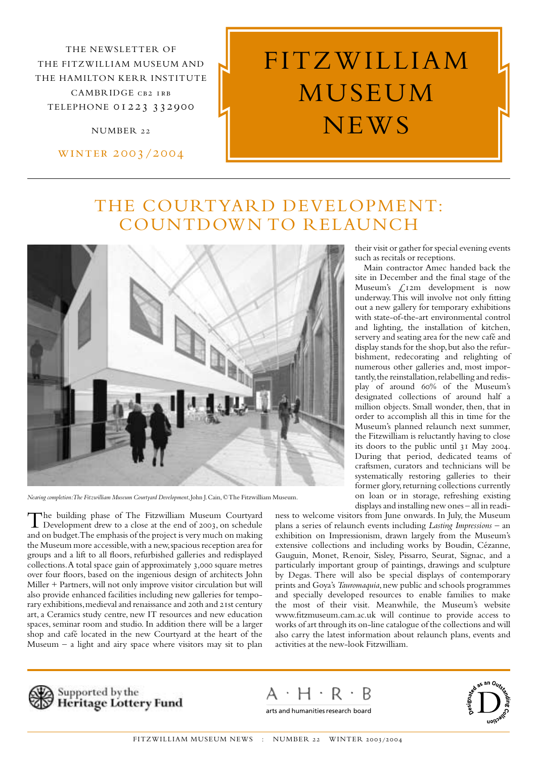THE NEWSLETTER OF THE FITZWILLIAM MUSEUM AND THE HAMILTON KERR INSTITUTE CAMBRIDGE CB2 IRB **TELEPHONE 01223 332900** 

NUMBER

WINTER 2003/2004

# FITZWILLIAM MUSEUM **NEWS**

## THE COURTYARD DEVELOPMENT: COUNTDOWN TO RELAUNCH



*Nearing completion:The Fitzwilliam Museum Courtyard Development*,John J.Cain,© The Fitzwilliam Museum.

The building phase of The Fitzwilliam Museum Courtyard<br>Development drew to a close at the end of 2003, on schedule and on budget.The emphasis of the project is very much on making the Museum more accessible,with a new,spacious reception area for groups and a lift to all floors, refurbished galleries and redisplayed collections. A total space gain of approximately 3,000 square metres over four floors, based on the ingenious design of architects John Miller + Partners, will not only improve visitor circulation but will also provide enhanced facilities including new galleries for temporary exhibitions, medieval and renaissance and 20th and 21st century art, a Ceramics study centre, new IT resources and new education spaces, seminar room and studio. In addition there will be a larger shop and café located in the new Courtyard at the heart of the Museum  $-$  a light and airy space where visitors may sit to plan

their visit or gather for special evening events such as recitals or receptions.

Main contractor Amec handed back the site in December and the final stage of the Museum's  $\text{\LARGE}$  r2m development is now underway.This will involve not only fitting out a new gallery for temporary exhibitions with state-of-the-art environmental control and lighting, the installation of kitchen, servery and seating area for the new café and display stands for the shop, but also the refurbishment, redecorating and relighting of numerous other galleries and, most importantly, the reinstallation, relabelling and redisplay of around 60% of the Museum's designated collections of around half a million objects. Small wonder, then, that in order to accomplish all this in time for the Museum's planned relaunch next summer, the Fitzwilliam is reluctantly having to close its doors to the public until 31 May 2004. During that period, dedicated teams of craftsmen, curators and technicians will be systematically restoring galleries to their former glory, returning collections currently on loan or in storage, refreshing existing displays and installing new ones – all in readi-

ness to welcome visitors from June onwards. In July, the Museum plans a series of relaunch events including *Lasting Impressions –* an exhibition on Impressionism, drawn largely from the Museum's extensive collections and including works by Boudin, Cézanne, Gauguin, Monet, Renoir, Sisley, Pissarro, Seurat, Signac, and a particularly important group of paintings, drawings and sculpture by Degas. There will also be special displays of contemporary prints and Goya's *Tauromaquia*,new public and schools programmes and specially developed resources to enable families to make the most of their visit. Meanwhile, the Museum's website www.fitzmuseum.cam.ac.uk will continue to provide access to works of art through its on-line catalogue of the collections and will also carry the latest information about relaunch plans, events and activities at the new-look Fitzwilliam.



 $A \cdot H \cdot R \cdot B$ 

arts and humanities research board

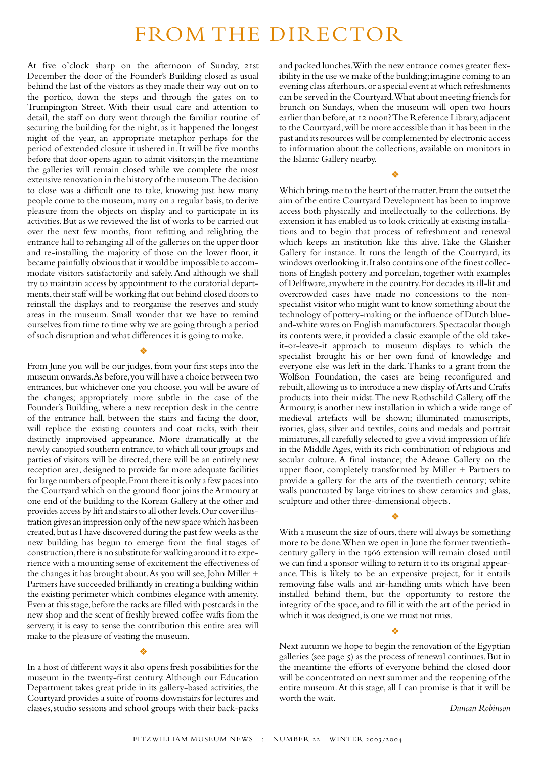# FROM THE DIRECTOR

At five o'clock sharp on the afternoon of Sunday, 21st December the door of the Founder's Building closed as usual behind the last of the visitors as they made their way out on to the portico, down the steps and through the gates on to Trumpington Street. With their usual care and attention to detail, the staff on duty went through the familiar routine of securing the building for the night, as it happened the longest night of the year, an appropriate metaphor perhaps for the period of extended closure it ushered in. It will be five months before that door opens again to admit visitors; in the meantime the galleries will remain closed while we complete the most extensive renovation in the history of the museum.The decision to close was a difficult one to take, knowing just how many people come to the museum,many on a regular basis,to derive pleasure from the objects on display and to participate in its activities.But as we reviewed the list of works to be carried out over the next few months, from refitting and relighting the entrance hall to rehanging all of the galleries on the upper floor and re-installing the majority of those on the lower floor, it became painfully obvious that it would be impossible to accommodate visitors satisfactorily and safely.And although we shall try to maintain access by appointment to the curatorial departments, their staff will be working flat out behind closed doors to reinstall the displays and to reorganise the reserves and study areas in the museum. Small wonder that we have to remind ourselves from time to time why we are going through a period of such disruption and what differences it is going to make.

❖

From June you will be our judges, from your first steps into the museum onwards.As before,you will have a choice between two entrances, but whichever one you choose, you will be aware of the changes; appropriately more subtle in the case of the Founder's Building, where a new reception desk in the centre of the entrance hall, between the stairs and facing the door, will replace the existing counters and coat racks, with their distinctly improvised appearance. More dramatically at the newly canopied southern entrance,to which all tour groups and parties of visitors will be directed, there will be an entirely new reception area, designed to provide far more adequate facilities for large numbers of people.From there it is only a few paces into the Courtyard which on the ground floor joins the Armoury at one end of the building to the Korean Gallery at the other and provides access by lift and stairs to all other levels.Our cover illustration gives an impression only of the new space which has been created,but as I have discovered during the past few weeks as the new building has begun to emerge from the final stages of construction,there is no substitute for walking around it to experience with a mounting sense of excitement the effectiveness of the changes it has brought about.As you will see, John Miller + Partners have succeeded brilliantly in creating a building within the existing perimeter which combines elegance with amenity. Even at this stage, before the racks are filled with postcards in the new shop and the scent of freshly brewed coffee wafts from the servery, it is easy to sense the contribution this entire area will make to the pleasure of visiting the museum.

#### ❖

In a host of different ways it also opens fresh possibilities for the museum in the twenty-first century. Although our Education Department takes great pride in its gallery-based activities, the Courtyard provides a suite of rooms downstairs for lectures and classes, studio sessions and school groups with their back-packs

and packed lunches.With the new entrance comes greater flexibility in the use we make of the building;imagine coming to an evening class afterhours,or a special event at which refreshments can be served in the Courtyard.What about meeting friends for brunch on Sundays, when the museum will open two hours earlier than before, at 12 noon? The Reference Library, adjacent to the Courtyard,will be more accessible than it has been in the past and its resources will be complemented by electronic access to information about the collections, available on monitors in the Islamic Gallery nearby.

❖

Which brings me to the heart of the matter.From the outset the aim of the entire Courtyard Development has been to improve access both physically and intellectually to the collections. By extension it has enabled us to look critically at existing installations and to begin that process of refreshment and renewal which keeps an institution like this alive. Take the Glaisher Gallery for instance. It runs the length of the Courtyard, its windows overlooking it.It also contains one of the finest collections of English pottery and porcelain, together with examples of Delftware,anywhere in the country.For decades its ill-lit and overcrowded cases have made no concessions to the nonspecialist visitor who might want to know something about the technology of pottery-making or the influence of Dutch blueand-white wares on English manufacturers.Spectacular though its contents were, it provided a classic example of the old takeit-or-leave-it approach to museum displays to which the specialist brought his or her own fund of knowledge and everyone else was left in the dark.Thanks to a grant from the Wolfson Foundation, the cases are being reconfigured and rebuilt,allowing us to introduce a new display of Arts and Crafts products into their midst.The new Rothschild Gallery, off the Armoury, is another new installation in which a wide range of medieval artefacts will be shown; illuminated manuscripts, ivories, glass, silver and textiles, coins and medals and portrait miniatures,all carefully selected to give a vivid impression of life in the Middle Ages, with its rich combination of religious and secular culture. A final instance; the Adeane Gallery on the upper floor, completely transformed by Miller + Partners to provide a gallery for the arts of the twentieth century; white walls punctuated by large vitrines to show ceramics and glass, sculpture and other three-dimensional objects.

#### ❖

With a museum the size of ours, there will always be something more to be done.When we open in June the former twentiethcentury gallery in the 1966 extension will remain closed until we can find a sponsor willing to return it to its original appearance. This is likely to be an expensive project, for it entails removing false walls and air-handling units which have been installed behind them, but the opportunity to restore the integrity of the space, and to fill it with the art of the period in which it was designed, is one we must not miss.

Next autumn we hope to begin the renovation of the Egyptian galleries (see page  $\zeta$ ) as the process of renewal continues. But in the meantime the efforts of everyone behind the closed door will be concentrated on next summer and the reopening of the entire museum.At this stage, all I can promise is that it will be worth the wait.

❖

*Duncan Robinson*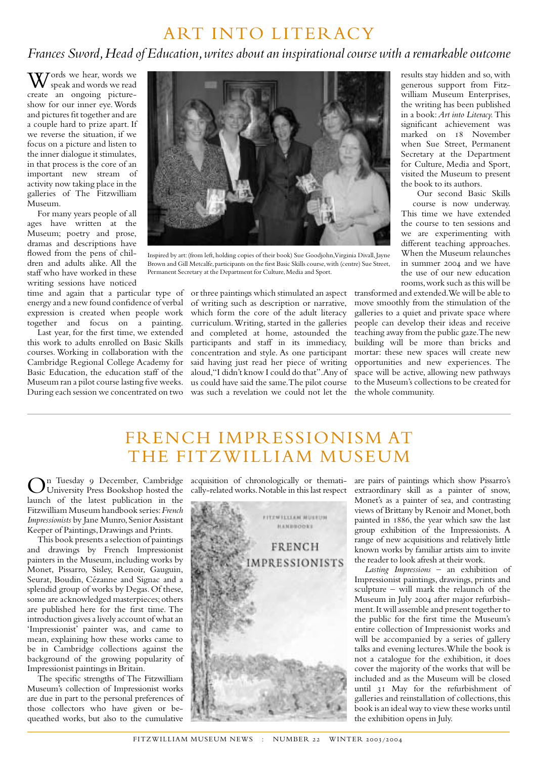### ART INTO LITERACY

### *Frances Sword,Head of Education,writes about an inspirational course with a remarkable outcome*

Words we hear, words we speak and words we read create an ongoing pictureshow for our inner eye.Words and pictures fit together and are a couple hard to prize apart. If we reverse the situation, if we focus on a picture and listen to the inner dialogue it stimulates, in that process is the core of an important new stream of activity now taking place in the galleries of The Fitzwilliam Museum.

For many years people of all ages have written at the Museum; poetry and prose, dramas and descriptions have flowed from the pens of children and adults alike. All the staff who have worked in these writing sessions have noticed

energy and a new found confidence of verbal expression is created when people work together and focus on a painting.

Last year, for the first time, we extended this work to adults enrolled on Basic Skills courses. Working in collaboration with the Cambridge Regional College Academy for Basic Education, the education staff of the Museum ran a pilot course lasting five weeks. During each session we concentrated on two



Inspired by art:(from left,holding copies of their book) Sue Goodjohn,Virginia Divall,Jayne Brown and Gill Metcalfe, participants on the first Basic Skills course, with (centre) Sue Street, Permanent Secretary at the Department for Culture, Media and Sport.

time and again that a particular type of orthree paintings which stimulated an aspect transformed and extended. We will be able to of writing such as description or narrative, which form the core of the adult literacy curriculum.Writing, started in the galleries and completed at home, astounded the participants and staff in its immediacy, concentration and style. As one participant said having just read her piece of writing aloud,"I didn't know I could do that".Any of us could have said the same.The pilot course was such a revelation we could not let the

results stay hidden and so, with generous support from Fitzwilliam Museum Enterprises, the writing has been published in a book:*Art into Literacy.*This significant achievement was marked on 18 November when Sue Street, Permanent Secretary at the Department for Culture, Media and Sport, visited the Museum to present the book to its authors.

Our second Basic Skills course is now underway. This time we have extended the course to ten sessions and we are experimenting with different teaching approaches. When the Museum relaunches in summer 2004 and we have the use of our new education rooms,work such as this will be

move smoothly from the stimulation of the galleries to a quiet and private space where people can develop their ideas and receive teaching away from the public gaze.The new building will be more than bricks and mortar: these new spaces will create new opportunities and new experiences. The space will be active, allowing new pathways to the Museum's collections to be created for the whole community.

## FRENCH IMPRESSIONISM AT THE FITZWILLIAM MUSEUM

On Tuesday December, Cambridge University Press Bookshop hosted the launch of the latest publication in the Fitzwilliam Museum handbook series:*French Impressionists* by Jane Munro, Senior Assistant Keeper of Paintings,Drawings and Prints.

This book presents a selection of paintings and drawings by French Impressionist painters in the Museum, including works by Monet, Pissarro, Sisley, Renoir, Gauguin, Seurat, Boudin, Cézanne and Signac and a splendid group of works by Degas. Of these, some are acknowledged masterpieces; others are published here for the first time. The introduction gives a lively account of what an 'Impressionist' painter was, and came to mean, explaining how these works came to be in Cambridge collections against the background of the growing popularity of Impressionist paintings in Britain.

The specific strengths of The Fitzwilliam Museum's collection of Impressionist works are due in part to the personal preferences of those collectors who have given or bequeathed works, but also to the cumulative

acquisition of chronologically or thematically-related works.Notable in this last respect



are pairs of paintings which show Pissarro's extraordinary skill as a painter of snow, Monet's as a painter of sea, and contrasting views of Brittany by Renoir and Monet, both painted in 1886, the year which saw the last group exhibition of the Impressionists. A range of new acquisitions and relatively little known works by familiar artists aim to invite the reader to look afresh at their work.

*Lasting Impressions* – an exhibition of Impressionist paintings, drawings, prints and sculpture – will mark the relaunch of the Museum in July 2004 after major refurbishment.It will assemble and present together to the public for the first time the Museum's entire collection of Impressionist works and will be accompanied by a series of gallery talks and evening lectures.While the book is not a catalogue for the exhibition, it does cover the majority of the works that will be included and as the Museum will be closed until 31 May for the refurbishment of galleries and reinstallation of collections, this book is an ideal way to view these works until the exhibition opens in July.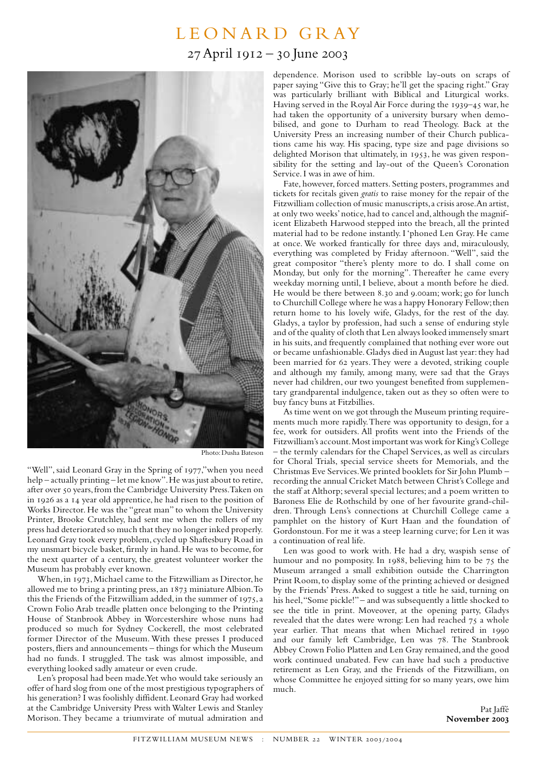### LEONARD GRAY  $27$  April  $1912 - 30$  June 2003



Photo:Dusha Bateson

"Well", said Leonard Gray in the Spring of 1977," when you need help – actually printing – let me know". He was just about to retire, after over 50 years, from the Cambridge University Press. Taken on in 1926 as a 14 year old apprentice, he had risen to the position of Works Director. He was the "great man" to whom the University Printer, Brooke Crutchley, had sent me when the rollers of my press had deteriorated so much that they no longer inked properly. Leonard Gray took every problem, cycled up Shaftesbury Road in my unsmart bicycle basket, firmly in hand. He was to become, for the next quarter of a century, the greatest volunteer worker the Museum has probably ever known.

When, in  $1973$ , Michael came to the Fitzwilliam as Director, he allowed me to bring a printing press, an  $1873$  miniature Albion. To this the Friends of the Fitzwilliam added, in the summer of  $1975.2$ Crown Folio Arab treadle platten once belonging to the Printing House of Stanbrook Abbey in Worcestershire whose nuns had produced so much for Sydney Cockerell, the most celebrated former Director of the Museum. With these presses I produced posters, fliers and announcements – things for which the Museum had no funds. I struggled. The task was almost impossible, and everything looked sadly amateur or even crude.

Len's proposal had been made.Yet who would take seriously an offer of hard slog from one of the most prestigious typographers of his generation? I was foolishly diffident.Leonard Gray had worked at the Cambridge University Press with Walter Lewis and Stanley Morison. They became a triumvirate of mutual admiration and

dependence. Morison used to scribble lay-outs on scraps of paper saying "Give this to Gray; he'll get the spacing right." Gray was particularly brilliant with Biblical and Liturgical works. Having served in the Royal Air Force during the  $1939-45$  war, he had taken the opportunity of a university bursary when demobilised, and gone to Durham to read Theology. Back at the University Press an increasing number of their Church publications came his way. His spacing, type size and page divisions so delighted Morison that ultimately, in 1953, he was given responsibility for the setting and lay-out of the Queen's Coronation Service. I was in awe of him.

Fate, however, forced matters. Setting posters, programmes and tickets for recitals given *gratis* to raise money for the repair of the Fitzwilliam collection of music manuscripts, a crisis arose.An artist, at only two weeks' notice, had to cancel and, although the magnificent Elizabeth Harwood stepped into the breach, all the printed material had to be redone instantly. I 'phoned Len Gray. He came at once. We worked frantically for three days and, miraculously, everything was completed by Friday afternoon. "Well", said the great compositor "there's plenty more to do. I shall come on Monday, but only for the morning". Thereafter he came every weekday morning until, I believe, about a month before he died. He would be there between  $8.30$  and  $9.00$ am; work; go for lunch to Churchill College where he was a happy Honorary Fellow;then return home to his lovely wife, Gladys, for the rest of the day. Gladys, a taylor by profession, had such a sense of enduring style and of the quality of cloth that Len always looked immensely smart in his suits, and frequently complained that nothing ever wore out or became unfashionable.Gladys died in August last year:they had been married for 62 years. They were a devoted, striking couple and although my family, among many, were sad that the Grays never had children, our two youngest benefited from supplementary grandparental indulgence, taken out as they so often were to buy fancy buns at Fitzbillies.

As time went on we got through the Museum printing requirements much more rapidly.There was opportunity to design, for a fee, work for outsiders. All profits went into the Friends of the Fitzwilliam's account.Most important was work for King's College – the termly calendars for the Chapel Services, as well as circulars for Choral Trials, special service sheets for Memorials, and the Christmas Eve Services.We printed booklets for Sir John Plumb – recording the annual Cricket Match between Christ's College and the staff at Althorp; several special lectures; and a poem written to Baroness Elie de Rothschild by one of her favourite grand-children. Through Lens's connections at Churchill College came a pamphlet on the history of Kurt Haan and the foundation of Gordonstoun. For me it was a steep learning curve; for Len it was a continuation of real life.

Len was good to work with. He had a dry, waspish sense of humour and no pomposity. In  $1988$ , believing him to be  $75$  the Museum arranged a small exhibition outside the Charrington Print Room, to display some of the printing achieved or designed by the Friends' Press. Asked to suggest a title he said, turning on his heel, "Some pickle!" – and was subsequently a little shocked to see the title in print. Moveover, at the opening party, Gladys revealed that the dates were wrong: Len had reached 75 a whole year earlier. That means that when Michael retired in and our family left Cambridge, Len was 78. The Stanbrook Abbey Crown Folio Platten and Len Gray remained, and the good work continued unabated. Few can have had such a productive retirement as Len Gray, and the Friends of the Fitzwilliam, on whose Committee he enjoyed sitting for so many years, owe him much.

> Pat Jaffé **November**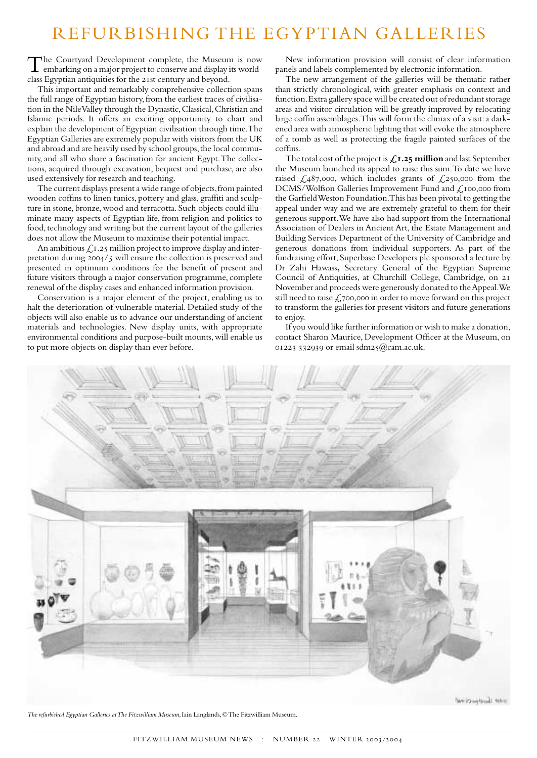#### REFURBISHING THE EGYPTIAN GALLERIES

The Courtyard Development complete, the Museum is now embarking on a major project to conserve and display its worldclass Egyptian antiquities for the 21st century and beyond.

This important and remarkably comprehensive collection spans the full range of Egyptian history, from the earliest traces of civilisation in the Nile Valley through the Dynastic,Classical,Christian and Islamic periods. It offers an exciting opportunity to chart and explain the development of Egyptian civilisation through time.The Egyptian Galleries are extremely popular with visitors from the UK and abroad and are heavily used by school groups, the local community, and all who share a fascination for ancient Egypt.The collections, acquired through excavation, bequest and purchase, are also used extensively for research and teaching.

The current displays present a wide range of objects, from painted wooden coffins to linen tunics, pottery and glass, graffiti and sculpture in stone, bronze, wood and terracotta. Such objects could illuminate many aspects of Egyptian life, from religion and politics to food, technology and writing but the current layout of the galleries does not allow the Museum to maximise their potential impact.

An ambitious  $\mathcal{L}$ 1.25 million project to improve display and interpretation during  $2004/\text{s}$  will ensure the collection is preserved and presented in optimum conditions for the benefit of present and future visitors through a major conservation programme, complete renewal of the display cases and enhanced information provision.

Conservation is a major element of the project, enabling us to halt the deterioration of vulnerable material. Detailed study of the objects will also enable us to advance our understanding of ancient materials and technologies. New display units, with appropriate environmental conditions and purpose-built mounts,will enable us to put more objects on display than ever before.

New information provision will consist of clear information panels and labels complemented by electronic information.

The new arrangement of the galleries will be thematic rather than strictly chronological, with greater emphasis on context and function.Extra gallery space will be created out of redundant storage areas and visitor circulation will be greatly improved by relocating large coffin assemblages. This will form the climax of a visit: a darkened area with atmospheric lighting that will evoke the atmosphere of a tomb as well as protecting the fragile painted surfaces of the coffins.

The total cost of the project is  $\boldsymbol{\mathcal{L}}$ **1.25 million** and last September the Museum launched its appeal to raise this sum.To date we have raised  $\text{\textsterling}_487,000$ , which includes grants of  $\text{\textsterling}_250,000$  from the DCMS/Wolfson Galleries Improvement Fund and  $f_{1}$  too,000 from the Garfield Weston Foundation.This has been pivotal to getting the appeal under way and we are extremely grateful to them for their generous support.We have also had support from the International Association of Dealers in Ancient Art, the Estate Management and Building Services Department of the University of Cambridge and generous donations from individual supporters. As part of the fundraising effort, Superbase Developers plc sponsored a lecture by Dr Zahi Hawass**,** Secretary General of the Egyptian Supreme Council of Antiquities, at Churchill College, Cambridge, on November and proceeds were generously donated to the Appeal.We still need to raise  $\sqrt{\frac{1}{2}}$ , 700,000 in order to move forward on this project to transform the galleries for present visitors and future generations to enjoy.

If you would like further information or wish to make a donation, contact Sharon Maurice, Development Officer at the Museum, on 01223 332939 or email sdm25@cam.ac.uk.



international communisties

*The refurbished Egyptian Galleries at The Fitzwilliam Museum*,Iain Langlands,© The Fitzwilliam Museum.